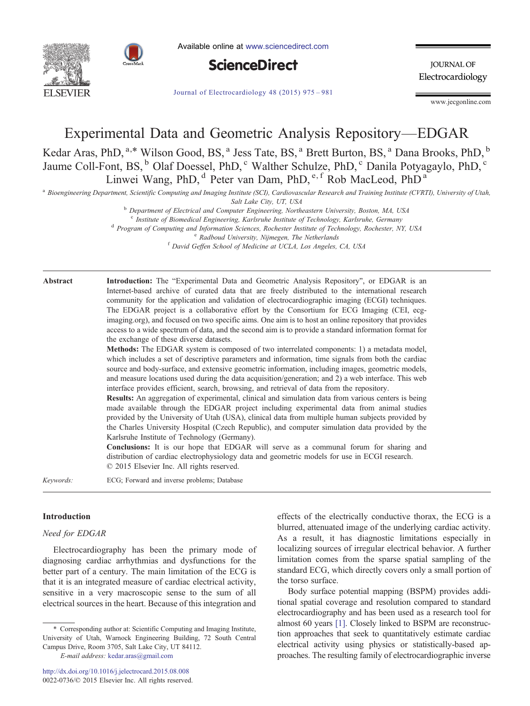



Available online at [www.sciencedirect.com](http://www.sciencedirect.com/science/journal/00220736)



[Journal of Electrocardiology 48 \(2015\) 975](http://dx.doi.org/10.1016/j.jelectrocard.2015.08.008) – 981

**JOURNAL OF** Electrocardiology

www.jecgonline.com

# Experimental Data and Geometric Analysis Repository—EDGAR

Kedar Aras, PhD, <sup>a,\*</sup> Wilson Good, BS, <sup>a</sup> Jess Tate, BS, <sup>a</sup> Brett Burton, BS, <sup>a</sup> Dana Brooks, PhD, <sup>b</sup> Jaume Coll-Font, BS, <sup>b</sup> Olaf Doessel, PhD, <sup>c</sup> Walther Schulze, PhD, <sup>c</sup> Danila Potyagaylo, PhD, <sup>c</sup> Linwei Wang, PhD, <sup>d</sup> Peter van Dam, PhD, <sup>e, f</sup> Rob MacLeod, PhD<sup>a</sup>

a Bioengineering Department, Scientific Computing and Imaging Institute (SCI), Cardiovascular Research and Training Institute (CVRTI), University of Utah,

Salt Lake City, UT, USA<br><sup>b</sup> Department of Electrical and Computer Engineering, Northeastern University, Boston, MA, USA

<sup>c</sup> Institute of Biomedical Engineering, Karlsruhe Institute of Technology, Karlsruhe, Germany

d Program of Computing and Information Sciences, Rochester Institute of Technology, Rochester, NY, USA  $^{\circ}$  Radboud University, Nijmegen, The Netherlands f David Geffen School of Medicine at UCLA, Los Angeles, CA, USA

Abstract Introduction: The "Experimental Data and Geometric Analysis Repository", or EDGAR is an Internet-based archive of curated data that are freely distributed to the international research community for the application and validation of electrocardiographic imaging (ECGI) techniques. The EDGAR project is a collaborative effort by the Consortium for ECG Imaging (CEI, ecgimaging.org), and focused on two specific aims. One aim is to host an online repository that provides access to a wide spectrum of data, and the second aim is to provide a standard information format for the exchange of these diverse datasets.

Methods: The EDGAR system is composed of two interrelated components: 1) a metadata model, which includes a set of descriptive parameters and information, time signals from both the cardiac source and body-surface, and extensive geometric information, including images, geometric models, and measure locations used during the data acquisition/generation; and 2) a web interface. This web interface provides efficient, search, browsing, and retrieval of data from the repository.

Results: An aggregation of experimental, clinical and simulation data from various centers is being made available through the EDGAR project including experimental data from animal studies provided by the University of Utah (USA), clinical data from multiple human subjects provided by the Charles University Hospital (Czech Republic), and computer simulation data provided by the Karlsruhe Institute of Technology (Germany).

Conclusions: It is our hope that EDGAR will serve as a communal forum for sharing and distribution of cardiac electrophysiology data and geometric models for use in ECGI research. © 2015 Elsevier Inc. All rights reserved.

Keywords: ECG; Forward and inverse problems; Database

## Introduction

## Need for EDGAR

Electrocardiography has been the primary mode of diagnosing cardiac arrhythmias and dysfunctions for the better part of a century. The main limitation of the ECG is that it is an integrated measure of cardiac electrical activity, sensitive in a very macroscopic sense to the sum of all electrical sources in the heart. Because of this integration and

⁎ Corresponding author at: Scientific Computing and Imaging Institute, University of Utah, Warnock Engineering Building, 72 South Central Campus Drive, Room 3705, Salt Lake City, UT 84112.

E-mail address: [kedar.aras@gmail.com](mailto:kedar.aras@gmail.com)

effects of the electrically conductive thorax, the ECG is a blurred, attenuated image of the underlying cardiac activity. As a result, it has diagnostic limitations especially in localizing sources of irregular electrical behavior. A further limitation comes from the sparse spatial sampling of the standard ECG, which directly covers only a small portion of the torso surface.

Body surface potential mapping (BSPM) provides additional spatial coverage and resolution compared to standard electrocardiography and has been used as a research tool for almost 60 years [\[1\].](#page-6-0) Closely linked to BSPM are reconstruction approaches that seek to quantitatively estimate cardiac electrical activity using physics or statistically-based approaches. The resulting family of electrocardiographic inverse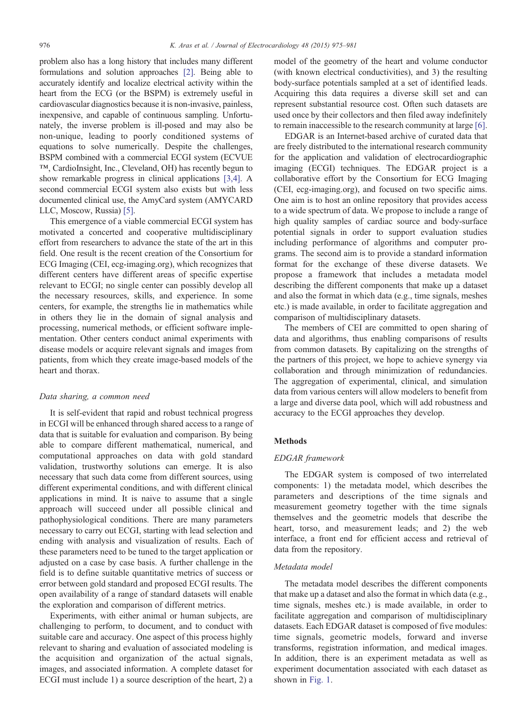problem also has a long history that includes many different formulations and solution approaches [\[2\].](#page-6-0) Being able to accurately identify and localize electrical activity within the heart from the ECG (or the BSPM) is extremely useful in cardiovascular diagnostics because it is non-invasive, painless, inexpensive, and capable of continuous sampling. Unfortunately, the inverse problem is ill-posed and may also be non-unique, leading to poorly conditioned systems of equations to solve numerically. Despite the challenges, BSPM combined with a commercial ECGI system (ECVUE ™, CardioInsight, Inc., Cleveland, OH) has recently begun to show remarkable progress in clinical applications [\[3,4\]](#page-6-0). A second commercial ECGI system also exists but with less documented clinical use, the AmyCard system (AMYCARD LLC, Moscow, Russia) [\[5\]](#page-6-0).

This emergence of a viable commercial ECGI system has motivated a concerted and cooperative multidisciplinary effort from researchers to advance the state of the art in this field. One result is the recent creation of the Consortium for ECG Imaging (CEI, ecg-imaging.org), which recognizes that different centers have different areas of specific expertise relevant to ECGI; no single center can possibly develop all the necessary resources, skills, and experience. In some centers, for example, the strengths lie in mathematics while in others they lie in the domain of signal analysis and processing, numerical methods, or efficient software implementation. Other centers conduct animal experiments with disease models or acquire relevant signals and images from patients, from which they create image-based models of the heart and thorax.

#### Data sharing, a common need

It is self-evident that rapid and robust technical progress in ECGI will be enhanced through shared access to a range of data that is suitable for evaluation and comparison. By being able to compare different mathematical, numerical, and computational approaches on data with gold standard validation, trustworthy solutions can emerge. It is also necessary that such data come from different sources, using different experimental conditions, and with different clinical applications in mind. It is naive to assume that a single approach will succeed under all possible clinical and pathophysiological conditions. There are many parameters necessary to carry out ECGI, starting with lead selection and ending with analysis and visualization of results. Each of these parameters need to be tuned to the target application or adjusted on a case by case basis. A further challenge in the field is to define suitable quantitative metrics of success or error between gold standard and proposed ECGI results. The open availability of a range of standard datasets will enable the exploration and comparison of different metrics.

Experiments, with either animal or human subjects, are challenging to perform, to document, and to conduct with suitable care and accuracy. One aspect of this process highly relevant to sharing and evaluation of associated modeling is the acquisition and organization of the actual signals, images, and associated information. A complete dataset for ECGI must include 1) a source description of the heart, 2) a model of the geometry of the heart and volume conductor (with known electrical conductivities), and 3) the resulting body-surface potentials sampled at a set of identified leads. Acquiring this data requires a diverse skill set and can represent substantial resource cost. Often such datasets are used once by their collectors and then filed away indefinitely to remain inaccessible to the research community at large [\[6\].](#page-6-0)

EDGAR is an Internet-based archive of curated data that are freely distributed to the international research community for the application and validation of electrocardiographic imaging (ECGI) techniques. The EDGAR project is a collaborative effort by the Consortium for ECG Imaging (CEI, ecg-imaging.org), and focused on two specific aims. One aim is to host an online repository that provides access to a wide spectrum of data. We propose to include a range of high quality samples of cardiac source and body-surface potential signals in order to support evaluation studies including performance of algorithms and computer programs. The second aim is to provide a standard information format for the exchange of these diverse datasets. We propose a framework that includes a metadata model describing the different components that make up a dataset and also the format in which data (e.g., time signals, meshes etc.) is made available, in order to facilitate aggregation and comparison of multidisciplinary datasets.

The members of CEI are committed to open sharing of data and algorithms, thus enabling comparisons of results from common datasets. By capitalizing on the strengths of the partners of this project, we hope to achieve synergy via collaboration and through minimization of redundancies. The aggregation of experimental, clinical, and simulation data from various centers will allow modelers to benefit from a large and diverse data pool, which will add robustness and accuracy to the ECGI approaches they develop.

## **Methods**

## EDGAR framework

The EDGAR system is composed of two interrelated components: 1) the metadata model, which describes the parameters and descriptions of the time signals and measurement geometry together with the time signals themselves and the geometric models that describe the heart, torso, and measurement leads; and 2) the web interface, a front end for efficient access and retrieval of data from the repository.

#### Metadata model

The metadata model describes the different components that make up a dataset and also the format in which data (e.g., time signals, meshes etc.) is made available, in order to facilitate aggregation and comparison of multidisciplinary datasets. Each EDGAR dataset is composed of five modules: time signals, geometric models, forward and inverse transforms, registration information, and medical images. In addition, there is an experiment metadata as well as experiment documentation associated with each dataset as shown in [Fig. 1](#page-2-0).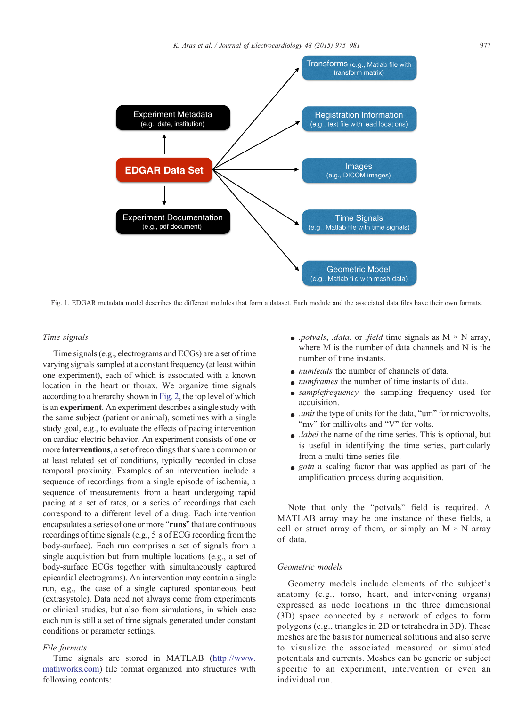<span id="page-2-0"></span>

Fig. 1. EDGAR metadata model describes the different modules that form a dataset. Each module and the associated data files have their own formats.

## Time signals

Time signals (e.g., electrograms and ECGs) are a set of time varying signals sampled at a constant frequency (at least within one experiment), each of which is associated with a known location in the heart or thorax. We organize time signals according to a hierarchy shown in [Fig. 2](#page-3-0), the top level of which is an experiment. An experiment describes a single study with the same subject (patient or animal), sometimes with a single study goal, e.g., to evaluate the effects of pacing intervention on cardiac electric behavior. An experiment consists of one or more interventions, a set of recordings that share a common or at least related set of conditions, typically recorded in close temporal proximity. Examples of an intervention include a sequence of recordings from a single episode of ischemia, a sequence of measurements from a heart undergoing rapid pacing at a set of rates, or a series of recordings that each correspond to a different level of a drug. Each intervention encapsulates a series of one or more "runs" that are continuous recordings of time signals (e.g., 5 s of ECG recording from the body-surface). Each run comprises a set of signals from a single acquisition but from multiple locations (e.g., a set of body-surface ECGs together with simultaneously captured epicardial electrograms). An intervention may contain a single run, e.g., the case of a single captured spontaneous beat (extrasystole). Data need not always come from experiments or clinical studies, but also from simulations, in which case each run is still a set of time signals generated under constant conditions or parameter settings.

# File formats

Time signals are stored in MATLAB [\(http://www.](http://www.mathworks.com) [mathworks.com](http://www.mathworks.com)) file format organized into structures with following contents:

- *potvals, data, or field time signals as*  $M \times N$  array, where M is the number of data channels and N is the number of time instants.
- *numleads* the number of channels of data.
- numframes the number of time instants of data.
- samplefrequency the sampling frequency used for acquisition.
- *unit* the type of units for the data, "um" for microvolts, "mv" for millivolts and "V" for volts.
- *label* the name of the time series. This is optional, but is useful in identifying the time series, particularly from a multi-time-series file.
- *gain* a scaling factor that was applied as part of the amplification process during acquisition.

Note that only the "potvals" field is required. A MATLAB array may be one instance of these fields, a cell or struct array of them, or simply an  $M \times N$  array of data.

#### Geometric models

Geometry models include elements of the subject's anatomy (e.g., torso, heart, and intervening organs) expressed as node locations in the three dimensional (3D) space connected by a network of edges to form polygons (e.g., triangles in 2D or tetrahedra in 3D). These meshes are the basis for numerical solutions and also serve to visualize the associated measured or simulated potentials and currents. Meshes can be generic or subject specific to an experiment, intervention or even an individual run.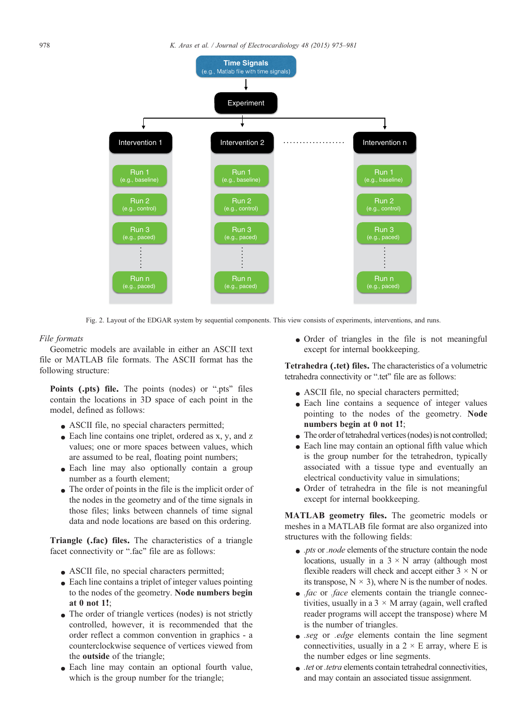<span id="page-3-0"></span>

Fig. 2. Layout of the EDGAR system by sequential components. This view consists of experiments, interventions, and runs.

## File formats

Geometric models are available in either an ASCII text file or MATLAB file formats. The ASCII format has the following structure:

Points (.pts) file. The points (nodes) or ".pts" files contain the locations in 3D space of each point in the model, defined as follows:

- ASCII file, no special characters permitted;
- Each line contains one triplet, ordered as x, y, and z values; one or more spaces between values, which are assumed to be real, floating point numbers;
- Each line may also optionally contain a group number as a fourth element;
- The order of points in the file is the implicit order of the nodes in the geometry and of the time signals in those files; links between channels of time signal data and node locations are based on this ordering.

Triangle (.fac) files. The characteristics of a triangle facet connectivity or ".fac" file are as follows:

- ASCII file, no special characters permitted;
- Each line contains a triplet of integer values pointing to the nodes of the geometry. Node numbers begin at 0 not 1!;
- The order of triangle vertices (nodes) is not strictly controlled, however, it is recommended that the order reflect a common convention in graphics - a counterclockwise sequence of vertices viewed from the outside of the triangle;
- Each line may contain an optional fourth value, which is the group number for the triangle;

• Order of triangles in the file is not meaningful except for internal bookkeeping.

Tetrahedra (.tet) files. The characteristics of a volumetric tetrahedra connectivity or ".tet" file are as follows:

- ASCII file, no special characters permitted;
- Each line contains a sequence of integer values pointing to the nodes of the geometry. Node numbers begin at 0 not 1!;
- The order of tetrahedral vertices (nodes) is not controlled;
- Each line may contain an optional fifth value which is the group number for the tetrahedron, typically associated with a tissue type and eventually an electrical conductivity value in simulations;
- Order of tetrahedra in the file is not meaningful except for internal bookkeeping.

MATLAB geometry files. The geometric models or meshes in a MATLAB file format are also organized into structures with the following fields:

- .pts or .node elements of the structure contain the node locations, usually in a  $3 \times N$  array (although most flexible readers will check and accept either  $3 \times N$  or its transpose,  $N \times 3$ ), where N is the number of nodes.
- $fac$  or  $face$  elements contain the triangle connectivities, usually in a  $3 \times M$  array (again, well crafted reader programs will accept the transpose) where M is the number of triangles.
- *seg* or *edge* elements contain the line segment connectivities, usually in a  $2 \times E$  array, where E is the number edges or line segments.
- $\bullet$  *.tet* or *.tetra* elements contain tetrahedral connectivities, and may contain an associated tissue assignment.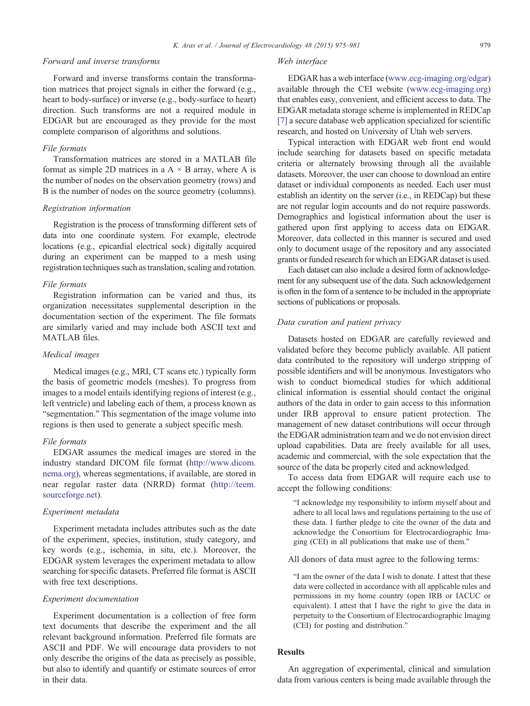## Forward and inverse transforms

Forward and inverse transforms contain the transformation matrices that project signals in either the forward (e.g., heart to body-surface) or inverse (e.g., body-surface to heart) direction. Such transforms are not a required module in EDGAR but are encouraged as they provide for the most complete comparison of algorithms and solutions.

## File formats

Transformation matrices are stored in a MATLAB file format as simple 2D matrices in a  $A \times B$  array, where A is the number of nodes on the observation geometry (rows) and B is the number of nodes on the source geometry (columns).

#### Registration information

Registration is the process of transforming different sets of data into one coordinate system. For example, electrode locations (e.g., epicardial electrical sock) digitally acquired during an experiment can be mapped to a mesh using registration techniques such as translation, scaling and rotation.

#### File formats

Registration information can be varied and thus, its organization necessitates supplemental description in the documentation section of the experiment. The file formats are similarly varied and may include both ASCII text and MATLAB files.

#### Medical images

Medical images (e.g., MRI, CT scans etc.) typically form the basis of geometric models (meshes). To progress from images to a model entails identifying regions of interest (e.g., left ventricle) and labeling each of them, a process known as "segmentation." This segmentation of the image volume into regions is then used to generate a subject specific mesh.

## File formats

EDGAR assumes the medical images are stored in the industry standard DICOM file format [\(http://www.dicom.](http://www.dicom.nema.org) [nema.org\)](http://www.dicom.nema.org), whereas segmentations, if available, are stored in near regular raster data (NRRD) format ([http://teem.](http://teem.sourceforge.net) [sourceforge.net\)](http://teem.sourceforge.net).

#### Experiment metadata

Experiment metadata includes attributes such as the date of the experiment, species, institution, study category, and key words (e.g., ischemia, in situ, etc.). Moreover, the EDGAR system leverages the experiment metadata to allow searching for specific datasets. Preferred file format is ASCII with free text descriptions.

#### Experiment documentation

Experiment documentation is a collection of free form text documents that describe the experiment and the all relevant background information. Preferred file formats are ASCII and PDF. We will encourage data providers to not only describe the origins of the data as precisely as possible, but also to identify and quantify or estimate sources of error in their data.

## Web interface

EDGAR has a web interface [\(www.ecg-imaging.org/edgar\)](http://www.ecg-imaging.org/edgar) available through the CEI website [\(www.ecg-imaging.org\)](http://www.ecg-imaging.org) that enables easy, convenient, and efficient access to data. The EDGAR metadata storage scheme is implemented in REDCap [\[7\]](#page-6-0) a secure database web application specialized for scientific research, and hosted on University of Utah web servers.

Typical interaction with EDGAR web front end would include searching for datasets based on specific metadata criteria or alternately browsing through all the available datasets. Moreover, the user can choose to download an entire dataset or individual components as needed. Each user must establish an identity on the server (i.e., in REDCap) but these are not regular login accounts and do not require passwords. Demographics and logistical information about the user is gathered upon first applying to access data on EDGAR. Moreover, data collected in this manner is secured and used only to document usage of the repository and any associated grants or funded research for which an EDGAR dataset is used.

Each dataset can also include a desired form of acknowledgement for any subsequent use of the data. Such acknowledgement is often in the form of a sentence to be included in the appropriate sections of publications or proposals.

## Data curation and patient privacy

Datasets hosted on EDGAR are carefully reviewed and validated before they become publicly available. All patient data contributed to the repository will undergo stripping of possible identifiers and will be anonymous. Investigators who wish to conduct biomedical studies for which additional clinical information is essential should contact the original authors of the data in order to gain access to this information under IRB approval to ensure patient protection. The management of new dataset contributions will occur through the EDGAR administration team and we do not envision direct upload capabilities. Data are freely available for all uses, academic and commercial, with the sole expectation that the source of the data be properly cited and acknowledged.

To access data from EDGAR will require each use to accept the following conditions:

"I acknowledge my responsibility to inform myself about and adhere to all local laws and regulations pertaining to the use of these data. I further pledge to cite the owner of the data and acknowledge the Consortium for Electrocardiographic Imaging (CEI) in all publications that make use of them."

All donors of data must agree to the following terms:

"I am the owner of the data I wish to donate. I attest that these data were collected in accordance with all applicable rules and permissions in my home country (open IRB or IACUC or equivalent). I attest that I have the right to give the data in perpetuity to the Consortium of Electrocardiographic Imaging (CEI) for posting and distribution."

# Results

An aggregation of experimental, clinical and simulation data from various centers is being made available through the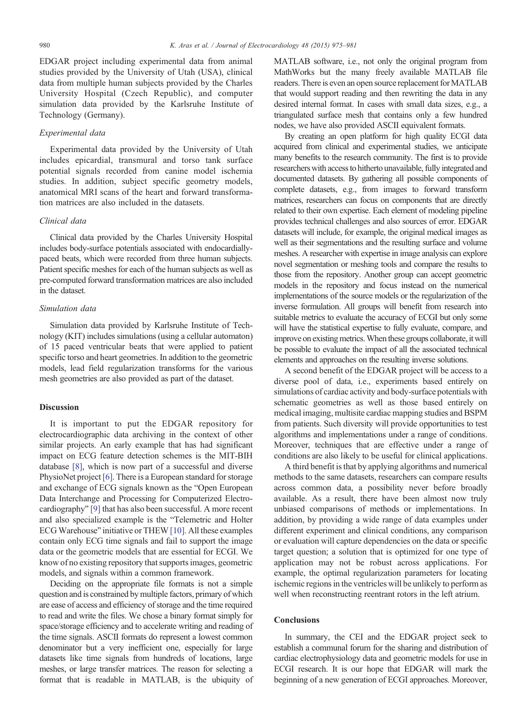EDGAR project including experimental data from animal studies provided by the University of Utah (USA), clinical data from multiple human subjects provided by the Charles University Hospital (Czech Republic), and computer simulation data provided by the Karlsruhe Institute of Technology (Germany).

## Experimental data

Experimental data provided by the University of Utah includes epicardial, transmural and torso tank surface potential signals recorded from canine model ischemia studies. In addition, subject specific geometry models, anatomical MRI scans of the heart and forward transformation matrices are also included in the datasets.

## Clinical data

Clinical data provided by the Charles University Hospital includes body-surface potentials associated with endocardiallypaced beats, which were recorded from three human subjects. Patient specific meshes for each of the human subjects as well as pre-computed forward transformation matrices are also included in the dataset.

## Simulation data

Simulation data provided by Karlsruhe Institute of Technology (KIT) includes simulations (using a cellular automaton) of 15 paced ventricular beats that were applied to patient specific torso and heart geometries. In addition to the geometric models, lead field regularization transforms for the various mesh geometries are also provided as part of the dataset.

## Discussion

It is important to put the EDGAR repository for electrocardiographic data archiving in the context of other similar projects. An early example that has had significant impact on ECG feature detection schemes is the MIT-BIH database [\[8\]](#page-6-0), which is now part of a successful and diverse PhysioNet project [\[6\]](#page-6-0). There is a European standard for storage and exchange of ECG signals known as the "Open European Data Interchange and Processing for Computerized Electrocardiography" [\[9\]](#page-6-0) that has also been successful. A more recent and also specialized example is the "Telemetric and Holter ECG Warehouse" initiative or THEW [\[10\].](#page-6-0) All these examples contain only ECG time signals and fail to support the image data or the geometric models that are essential for ECGI. We know of no existing repository that supports images, geometric models, and signals within a common framework.

Deciding on the appropriate file formats is not a simple question and is constrained by multiple factors, primary of which are ease of access and efficiency of storage and the time required to read and write the files. We chose a binary format simply for space/storage efficiency and to accelerate writing and reading of the time signals. ASCII formats do represent a lowest common denominator but a very inefficient one, especially for large datasets like time signals from hundreds of locations, large meshes, or large transfer matrices. The reason for selecting a format that is readable in MATLAB, is the ubiquity of MATLAB software, i.e., not only the original program from MathWorks but the many freely available MATLAB file readers. There is even an open source replacement for MATLAB that would support reading and then rewriting the data in any desired internal format. In cases with small data sizes, e.g., a triangulated surface mesh that contains only a few hundred nodes, we have also provided ASCII equivalent formats.

By creating an open platform for high quality ECGI data acquired from clinical and experimental studies, we anticipate many benefits to the research community. The first is to provide researchers with access to hitherto unavailable, fully integrated and documented datasets. By gathering all possible components of complete datasets, e.g., from images to forward transform matrices, researchers can focus on components that are directly related to their own expertise. Each element of modeling pipeline provides technical challenges and also sources of error. EDGAR datasets will include, for example, the original medical images as well as their segmentations and the resulting surface and volume meshes. A researcher with expertise in image analysis can explore novel segmentation or meshing tools and compare the results to those from the repository. Another group can accept geometric models in the repository and focus instead on the numerical implementations of the source models or the regularization of the inverse formulation. All groups will benefit from research into suitable metrics to evaluate the accuracy of ECGI but only some will have the statistical expertise to fully evaluate, compare, and improve on existing metrics.When these groups collaborate, it will be possible to evaluate the impact of all the associated technical elements and approaches on the resulting inverse solutions.

A second benefit of the EDGAR project will be access to a diverse pool of data, i.e., experiments based entirely on simulations of cardiac activity and body-surface potentials with schematic geometries as well as those based entirely on medical imaging, multisite cardiac mapping studies and BSPM from patients. Such diversity will provide opportunities to test algorithms and implementations under a range of conditions. Moreover, techniques that are effective under a range of conditions are also likely to be useful for clinical applications.

A third benefit is that by applying algorithms and numerical methods to the same datasets, researchers can compare results across common data, a possibility never before broadly available. As a result, there have been almost now truly unbiased comparisons of methods or implementations. In addition, by providing a wide range of data examples under different experiment and clinical conditions, any comparison or evaluation will capture dependencies on the data or specific target question; a solution that is optimized for one type of application may not be robust across applications. For example, the optimal regularization parameters for locating ischemic regions in the ventricles will be unlikely to perform as well when reconstructing reentrant rotors in the left atrium.

## Conclusions

In summary, the CEI and the EDGAR project seek to establish a communal forum for the sharing and distribution of cardiac electrophysiology data and geometric models for use in ECGI research. It is our hope that EDGAR will mark the beginning of a new generation of ECGI approaches. Moreover,